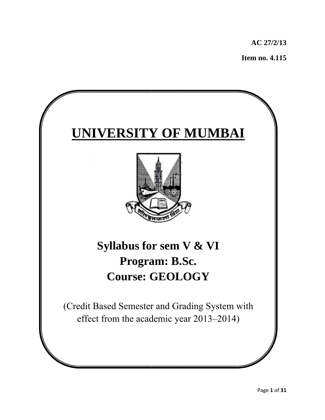**AC 27/ /2/13** 

 **I Item no. 4 4.115** 

# $\times$  **UNIVERSITY OF MUMBAI**



# **Syllabus for sem V & VI P Progra am: B. Sc.**   $\textbf{Course: GEOLOGY}$

(Credit Based Semester and Grading System with effect from the academic year 2013–2014)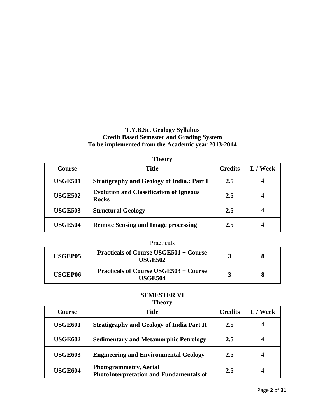# **T.Y.B.Sc. Geology Syllabus Credit Based Semester and Grading System To be implemented from the Academic year 2013-2014**

|                | <b>Theory</b>                                                  |                |          |
|----------------|----------------------------------------------------------------|----------------|----------|
| Course         | <b>Title</b>                                                   | <b>Credits</b> | L / Week |
| <b>USGE501</b> | <b>Stratigraphy and Geology of India.: Part I</b>              | 2.5            |          |
| <b>USGE502</b> | <b>Evolution and Classification of Igneous</b><br><b>Rocks</b> | 2.5            |          |
| <b>USGE503</b> | <b>Structural Geology</b>                                      | 2.5            | 4        |
| <b>USGE504</b> | <b>Remote Sensing and Image processing</b>                     | 2.5            |          |

# Practicals

| USGEP05        | <b>Practicals of Course USGE501 + Course</b><br>USGE502 |  |
|----------------|---------------------------------------------------------|--|
| <b>USGEP06</b> | <b>Practicals of Course USGE503 + Course</b><br>USGE504 |  |

#### **SEMESTER VI Theory**

|                | - -- <del>-</del> - -                                                           |                |          |
|----------------|---------------------------------------------------------------------------------|----------------|----------|
| <b>Course</b>  | Title                                                                           | <b>Credits</b> | L / Week |
| <b>USGE601</b> | <b>Stratigraphy and Geology of India Part II</b>                                | 2.5            |          |
| <b>USGE602</b> | <b>Sedimentary and Metamorphic Petrology</b>                                    | 2.5            |          |
| <b>USGE603</b> | <b>Engineering and Environmental Geology</b>                                    | 2.5            |          |
| <b>USGE604</b> | <b>Photogrammetry, Aerial</b><br><b>PhotoInterpretation and Fundamentals of</b> | 2.5            |          |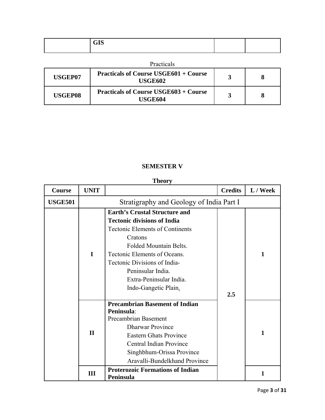| $\sim -\sim$<br><b>UID</b> |  |
|----------------------------|--|
|                            |  |

| Practicals |  |
|------------|--|
|            |  |

| USGEP07 | <b>Practicals of Course USGE601 + Course</b><br>USGE602 |  |
|---------|---------------------------------------------------------|--|
| USGEP08 | <b>Practicals of Course USGE603 + Course</b><br>USGE604 |  |

# **SEMESTER V**

# **Theory Theory**

| <b>Course</b>  | <b>UNIT</b>  |                                                                                                                                                                                                                                                       | <b>Credits</b> | L / Week     |
|----------------|--------------|-------------------------------------------------------------------------------------------------------------------------------------------------------------------------------------------------------------------------------------------------------|----------------|--------------|
| <b>USGE501</b> |              | Stratigraphy and Geology of India Part I                                                                                                                                                                                                              |                |              |
|                | $\mathbf{I}$ | <b>Earth's Crustal Structure and</b><br><b>Tectonic divisions of India</b><br><b>Tectonic Elements of Continents</b><br>Cratons<br><b>Folded Mountain Belts.</b><br>Tectonic Elements of Oceans.<br>Tectonic Divisions of India-<br>Peninsular India. |                | 1            |
|                |              | Extra-Peninsular India.<br>Indo-Gangetic Plain.                                                                                                                                                                                                       | 2.5            |              |
|                | $\mathbf{I}$ | <b>Precambrian Basement of Indian</b><br>Peninsula:<br>Precambrian Basement<br><b>Dharwar Province</b><br><b>Eastern Ghats Province</b><br>Central Indian Province<br>Singhbhum-Orissa Province<br>Aravalli-Bundelkhand Province                      |                | $\mathbf{1}$ |
|                | Ш            | <b>Proterozoic Formations of Indian</b><br>Peninsula                                                                                                                                                                                                  |                |              |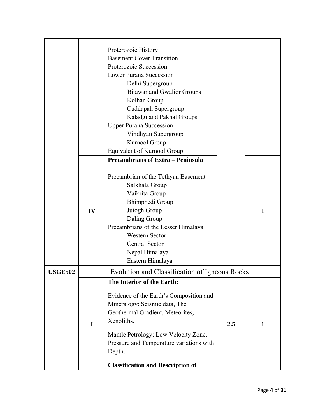|                |             | Proterozoic History                                               |     |              |
|----------------|-------------|-------------------------------------------------------------------|-----|--------------|
|                |             | <b>Basement Cover Transition</b>                                  |     |              |
|                |             | Proterozoic Succession                                            |     |              |
|                |             | <b>Lower Purana Succession</b>                                    |     |              |
|                |             | Delhi Supergroup                                                  |     |              |
|                |             | <b>Bijawar and Gwalior Groups</b>                                 |     |              |
|                |             | Kolhan Group                                                      |     |              |
|                |             | Cuddapah Supergroup                                               |     |              |
|                |             | Kaladgi and Pakhal Groups                                         |     |              |
|                |             | <b>Upper Purana Succession</b>                                    |     |              |
|                |             | Vindhyan Supergroup                                               |     |              |
|                |             | Kurnool Group                                                     |     |              |
|                |             | Equivalent of Kurnool Group                                       |     |              |
|                |             | <b>Precambrians of Extra - Peninsula</b>                          |     |              |
|                |             |                                                                   |     |              |
|                |             | Precambrian of the Tethyan Basement                               |     |              |
|                |             | Salkhala Group                                                    |     |              |
|                |             | Vaikrita Group                                                    |     |              |
|                |             | Bhimphedi Group                                                   |     |              |
|                | IV          | Jutogh Group                                                      |     | 1            |
|                |             | Daling Group                                                      |     |              |
|                |             | Precambrians of the Lesser Himalaya                               |     |              |
|                |             | <b>Western Sector</b>                                             |     |              |
|                |             | <b>Central Sector</b>                                             |     |              |
|                |             | Nepal Himalaya                                                    |     |              |
|                |             | Eastern Himalaya                                                  |     |              |
| <b>USGE502</b> |             | Evolution and Classification of Igneous Rocks                     |     |              |
|                |             | The Interior of the Earth:                                        |     |              |
|                |             |                                                                   |     |              |
|                |             | Evidence of the Earth's Composition and                           |     |              |
|                |             | Mineralogy: Seismic data, The<br>Geothermal Gradient, Meteorites, |     |              |
|                |             | Xenoliths.                                                        |     |              |
|                | $\mathbf I$ |                                                                   | 2.5 | $\mathbf{1}$ |
|                |             | Mantle Petrology; Low Velocity Zone,                              |     |              |
|                |             | Pressure and Temperature variations with                          |     |              |
|                |             | Depth.                                                            |     |              |
|                |             | <b>Classification and Description of</b>                          |     |              |
|                |             |                                                                   |     |              |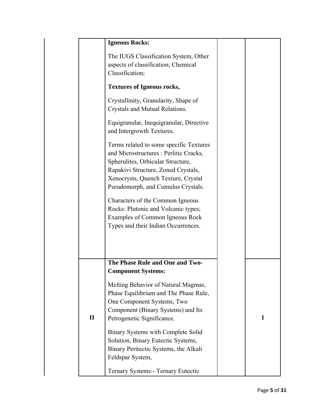|              | <b>Igneous Rocks:</b>                                                                                                                                                                                                                      |   |
|--------------|--------------------------------------------------------------------------------------------------------------------------------------------------------------------------------------------------------------------------------------------|---|
|              | The IUGS Classification System, Other<br>aspects of classification; Chemical<br>Classification;                                                                                                                                            |   |
|              | <b>Textures of Igneous rocks,</b>                                                                                                                                                                                                          |   |
|              | Crystallinity, Granularity, Shape of<br>Crystals and Mutual Relations.                                                                                                                                                                     |   |
|              | Equigranular, Inequigranular, Directive<br>and Intergrowth Textures.                                                                                                                                                                       |   |
|              | Terms related to some specific Textures<br>and Microstructures : Perlitic Cracks,<br>Spherulites, Orbicular Structure,<br>Rapakivi Structure, Zoned Crystals,<br>Xenocrysts, Quench Texture, Crystal<br>Pseudomorph, and Cumulus Crystals. |   |
|              | Characters of the Common Igneous<br>Rocks: Plutonic and Volcanic types;<br>Examples of Common Igneous Rock<br>Types and their Indian Occurrences.                                                                                          |   |
|              | The Phase Rule and One and Two-<br><b>Component Systems:</b>                                                                                                                                                                               |   |
| $\mathbf{I}$ | Melting Behavior of Natural Magmas,<br>Phase Equilibrium and The Phase Rule,<br>One Component Systems, Two<br>Component (Binary Systems) and Its<br>Petrogenetic Significance.                                                             | 1 |
|              | Binary Systems with Complete Solid<br>Solution, Binary Eutectic Systems,<br>Binary Peritectic Systems, the Alkali<br>Feldspar System,                                                                                                      |   |
|              | Ternary Systems:- Ternary Eutectic                                                                                                                                                                                                         |   |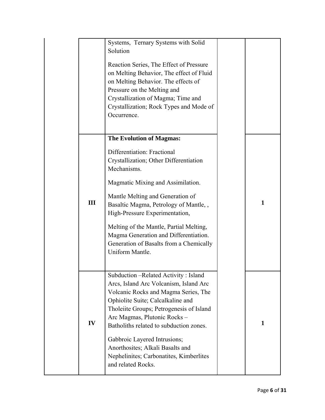|     | Systems, Ternary Systems with Solid<br>Solution<br>Reaction Series, The Effect of Pressure<br>on Melting Behavior, The effect of Fluid<br>on Melting Behavior. The effects of<br>Pressure on the Melting and<br>Crystallization of Magma; Time and<br>Crystallization; Rock Types and Mode of<br>Occurrence.                                                                                                                  |              |
|-----|-------------------------------------------------------------------------------------------------------------------------------------------------------------------------------------------------------------------------------------------------------------------------------------------------------------------------------------------------------------------------------------------------------------------------------|--------------|
| III | <b>The Evolution of Magmas:</b><br>Differentiation: Fractional<br>Crystallization; Other Differentiation<br>Mechanisms.<br>Magmatic Mixing and Assimilation.<br>Mantle Melting and Generation of<br>Basaltic Magma, Petrology of Mantle,,<br>High-Pressure Experimentation,<br>Melting of the Mantle, Partial Melting,<br>Magma Generation and Differentiation.<br>Generation of Basalts from a Chemically<br>Uniform Mantle. | $\mathbf{1}$ |
| IV  | Subduction - Related Activity: Island<br>Arcs, Island Arc Volcanism, Island Arc<br>Volcanic Rocks and Magma Series, The<br>Ophiolite Suite; Calcalkaline and<br>Tholeiite Groups; Petrogenesis of Island<br>Arc Magmas, Plutonic Rocks -<br>Batholiths related to subduction zones.<br>Gabbroic Layered Intrusions;<br>Anorthosites; Alkali Basalts and<br>Nephelinites; Carbonatites, Kimberlites<br>and related Rocks.      | $\mathbf{1}$ |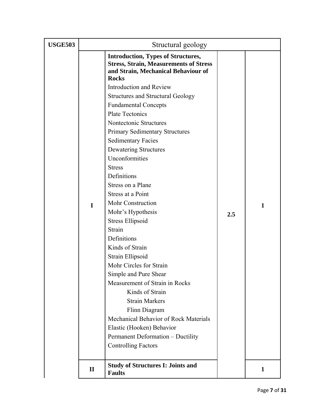| <b>USGE503</b> |              | Structural geology                                                                                                                                                                                                                                                                                                                                                                                                                                                                                                                                                                                                                                                                                                                                                                        |     |              |
|----------------|--------------|-------------------------------------------------------------------------------------------------------------------------------------------------------------------------------------------------------------------------------------------------------------------------------------------------------------------------------------------------------------------------------------------------------------------------------------------------------------------------------------------------------------------------------------------------------------------------------------------------------------------------------------------------------------------------------------------------------------------------------------------------------------------------------------------|-----|--------------|
|                |              | <b>Introduction, Types of Structures,</b><br><b>Stress, Strain, Measurements of Stress</b><br>and Strain, Mechanical Behaviour of<br><b>Rocks</b>                                                                                                                                                                                                                                                                                                                                                                                                                                                                                                                                                                                                                                         |     |              |
|                | $\mathbf I$  | <b>Introduction and Review</b><br><b>Structures and Structural Geology</b><br><b>Fundamental Concepts</b><br><b>Plate Tectonics</b><br>Nontectonic Structures<br><b>Primary Sedimentary Structures</b><br><b>Sedimentary Facies</b><br>Dewatering Structures<br>Unconformities<br><b>Stress</b><br>Definitions<br>Stress on a Plane<br>Stress at a Point<br>Mohr Construction<br>Mohr's Hypothesis<br><b>Stress Ellipsoid</b><br>Strain<br>Definitions<br>Kinds of Strain<br>Strain Ellipsoid<br>Mohr Circles for Strain<br>Simple and Pure Shear<br>Measurement of Strain in Rocks<br>Kinds of Strain<br><b>Strain Markers</b><br>Flinn Diagram<br>Mechanical Behavior of Rock Materials<br>Elastic (Hooken) Behavior<br>Permanent Deformation - Ductility<br><b>Controlling Factors</b> | 2.5 | $\mathbf{1}$ |
|                | $\mathbf{I}$ | <b>Study of Structures I: Joints and</b><br><b>Faults</b>                                                                                                                                                                                                                                                                                                                                                                                                                                                                                                                                                                                                                                                                                                                                 |     | $\mathbf{1}$ |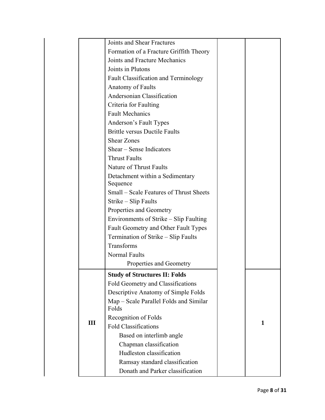|     | Joints and Shear Fractures              |   |
|-----|-----------------------------------------|---|
|     | Formation of a Fracture Griffith Theory |   |
|     | Joints and Fracture Mechanics           |   |
|     | Joints in Plutons                       |   |
|     | Fault Classification and Terminology    |   |
|     | Anatomy of Faults                       |   |
|     | Andersonian Classification              |   |
|     | Criteria for Faulting                   |   |
|     | <b>Fault Mechanics</b>                  |   |
|     | Anderson's Fault Types                  |   |
|     | <b>Brittle versus Ductile Faults</b>    |   |
|     | <b>Shear Zones</b>                      |   |
|     | Shear – Sense Indicators                |   |
|     | <b>Thrust Faults</b>                    |   |
|     | Nature of Thrust Faults                 |   |
|     | Detachment within a Sedimentary         |   |
|     | Sequence                                |   |
|     | Small – Scale Features of Thrust Sheets |   |
|     | Strike - Slip Faults                    |   |
|     | Properties and Geometry                 |   |
|     | Environments of Strike - Slip Faulting  |   |
|     | Fault Geometry and Other Fault Types    |   |
|     | Termination of Strike - Slip Faults     |   |
|     | Transforms                              |   |
|     | Normal Faults                           |   |
|     | Properties and Geometry                 |   |
|     | <b>Study of Structures II: Folds</b>    |   |
|     | Fold Geometry and Classifications       |   |
|     | Descriptive Anatomy of Simple Folds     |   |
|     | Map – Scale Parallel Folds and Similar  |   |
|     | Folds                                   |   |
| III | Recognition of Folds                    | 1 |
|     | <b>Fold Classifications</b>             |   |
|     | Based on interlimb angle                |   |
|     | Chapman classification                  |   |
|     | Hudleston classification                |   |
|     | Ramsay standard classification          |   |
|     | Donath and Parker classification        |   |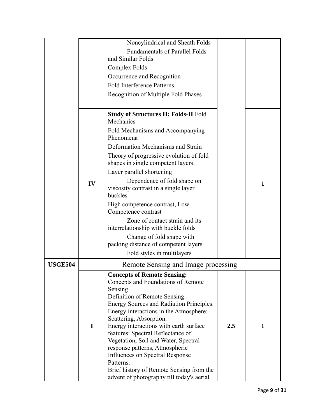|                |    | Noncylindrical and Sheath Folds                                                                                                                                                                                                                                                                                                                                                                                                                                                                                                         |     |   |
|----------------|----|-----------------------------------------------------------------------------------------------------------------------------------------------------------------------------------------------------------------------------------------------------------------------------------------------------------------------------------------------------------------------------------------------------------------------------------------------------------------------------------------------------------------------------------------|-----|---|
|                |    | <b>Fundamentals of Parallel Folds</b>                                                                                                                                                                                                                                                                                                                                                                                                                                                                                                   |     |   |
|                |    | and Similar Folds                                                                                                                                                                                                                                                                                                                                                                                                                                                                                                                       |     |   |
|                |    | Complex Folds                                                                                                                                                                                                                                                                                                                                                                                                                                                                                                                           |     |   |
|                |    | Occurrence and Recognition                                                                                                                                                                                                                                                                                                                                                                                                                                                                                                              |     |   |
|                |    | <b>Fold Interference Patterns</b>                                                                                                                                                                                                                                                                                                                                                                                                                                                                                                       |     |   |
|                |    | Recognition of Multiple Fold Phases                                                                                                                                                                                                                                                                                                                                                                                                                                                                                                     |     |   |
|                |    | <b>Study of Structures II: Folds-II Fold</b><br>Mechanics                                                                                                                                                                                                                                                                                                                                                                                                                                                                               |     |   |
|                |    | Fold Mechanisms and Accompanying<br>Phenomena                                                                                                                                                                                                                                                                                                                                                                                                                                                                                           |     |   |
|                |    | Deformation Mechanisms and Strain                                                                                                                                                                                                                                                                                                                                                                                                                                                                                                       |     |   |
|                |    | Theory of progressive evolution of fold<br>shapes in single competent layers.                                                                                                                                                                                                                                                                                                                                                                                                                                                           |     |   |
|                |    | Layer parallel shortening                                                                                                                                                                                                                                                                                                                                                                                                                                                                                                               |     |   |
|                | IV | Dependence of fold shape on<br>viscosity contrast in a single layer<br>buckles                                                                                                                                                                                                                                                                                                                                                                                                                                                          |     | 1 |
|                |    | High competence contrast, Low<br>Competence contrast                                                                                                                                                                                                                                                                                                                                                                                                                                                                                    |     |   |
|                |    | Zone of contact strain and its<br>interrelationship with buckle folds                                                                                                                                                                                                                                                                                                                                                                                                                                                                   |     |   |
|                |    | Change of fold shape with<br>packing distance of competent layers                                                                                                                                                                                                                                                                                                                                                                                                                                                                       |     |   |
|                |    | Fold styles in multilayers                                                                                                                                                                                                                                                                                                                                                                                                                                                                                                              |     |   |
| <b>USGE504</b> |    | Remote Sensing and Image processing                                                                                                                                                                                                                                                                                                                                                                                                                                                                                                     |     |   |
|                | I  | <b>Concepts of Remote Sensing:</b><br>Concepts and Foundations of Remote<br>Sensing<br>Definition of Remote Sensing.<br>Energy Sources and Radiation Principles.<br>Energy interactions in the Atmosphere:<br>Scattering, Absorption.<br>Energy interactions with earth surface<br>features: Spectral Reflectance of<br>Vegetation, Soil and Water, Spectral<br>response patterns, Atmospheric<br>Influences on Spectral Response<br>Patterns.<br>Brief history of Remote Sensing from the<br>advent of photography till today's aerial | 2.5 | 1 |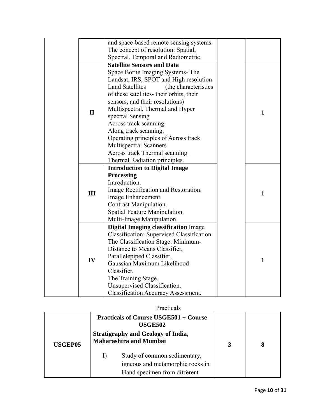|              | and space-based remote sensing systems.         |              |
|--------------|-------------------------------------------------|--------------|
|              | The concept of resolution: Spatial,             |              |
|              | Spectral, Temporal and Radiometric.             |              |
|              | <b>Satellite Sensors and Data</b>               |              |
|              | Space Borne Imaging Systems-The                 |              |
|              | Landsat, IRS, SPOT and High resolution          |              |
|              | <b>Land Satellites</b><br>(the characteristics) |              |
|              | of these satellites- their orbits, their        |              |
|              | sensors, and their resolutions)                 |              |
|              | Multispectral, Thermal and Hyper                |              |
| $\mathbf{I}$ | spectral Sensing                                | $\mathbf{1}$ |
|              | Across track scanning.                          |              |
|              | Along track scanning.                           |              |
|              | Operating principles of Across track            |              |
|              | Multispectral Scanners.                         |              |
|              | Across track Thermal scanning.                  |              |
|              | Thermal Radiation principles.                   |              |
|              | <b>Introduction to Digital Image</b>            |              |
|              | <b>Processing</b>                               |              |
|              | Introduction.                                   |              |
| Ш            | Image Rectification and Restoration.            | $\mathbf{1}$ |
|              | Image Enhancement.                              |              |
|              | Contrast Manipulation.                          |              |
|              | Spatial Feature Manipulation.                   |              |
|              | Multi-Image Manipulation.                       |              |
|              | <b>Digital Imaging classification Image</b>     |              |
|              | Classification: Supervised Classification.      |              |
|              | The Classification Stage: Minimum-              |              |
|              | Distance to Means Classifier,                   |              |
| IV           | Parallelepiped Classifier,                      | $\mathbf{1}$ |
|              | Gaussian Maximum Likelihood                     |              |
|              | Classifier.                                     |              |
|              | The Training Stage.                             |              |
|              | Unsupervised Classification.                    |              |
|              | <b>Classification Accuracy Assessment.</b>      |              |

|                |    | Practicals                                                                                       |   |  |
|----------------|----|--------------------------------------------------------------------------------------------------|---|--|
|                |    | <b>Practicals of Course USGE501 + Course</b><br><b>USGE502</b>                                   |   |  |
| <b>USGEP05</b> |    | <b>Stratigraphy and Geology of India,</b><br><b>Maharashtra and Mumbai</b>                       | 3 |  |
|                | 1) | Study of common sedimentary,<br>igneous and metamorphic rocks in<br>Hand specimen from different |   |  |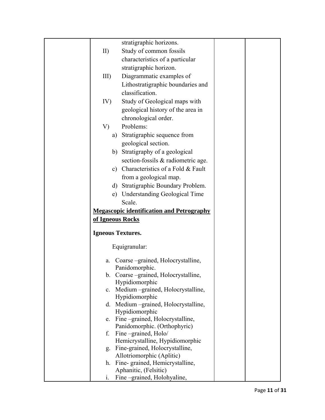|                          | stratigraphic horizons.                                     |  |
|--------------------------|-------------------------------------------------------------|--|
| II)                      | Study of common fossils                                     |  |
|                          | characteristics of a particular                             |  |
|                          | stratigraphic horizon.                                      |  |
| $III$ )                  | Diagrammatic examples of                                    |  |
|                          | Lithostratigraphic boundaries and                           |  |
|                          | classification.                                             |  |
| IV)                      | Study of Geological maps with                               |  |
|                          | geological history of the area in                           |  |
|                          | chronological order.                                        |  |
| V)                       | Problems:                                                   |  |
|                          | a) Stratigraphic sequence from                              |  |
|                          | geological section.                                         |  |
|                          | b) Stratigraphy of a geological                             |  |
|                          | section-fossils & radiometric age.                          |  |
| c)                       | Characteristics of a Fold & Fault                           |  |
|                          | from a geological map.                                      |  |
|                          | d) Stratigraphic Boundary Problem.                          |  |
| e)                       | <b>Understanding Geological Time</b>                        |  |
|                          | Scale.                                                      |  |
|                          | <b>Megascopic identification and Petrography</b>            |  |
| of Igneous Rocks         |                                                             |  |
|                          |                                                             |  |
| <b>Igneous Textures.</b> |                                                             |  |
|                          | Equigranular:                                               |  |
| a.                       | Coarse-grained, Holocrystalline,                            |  |
|                          | Panidomorphic.                                              |  |
|                          | b. Coarse-grained, Holocrystalline,                         |  |
|                          | Hypidiomorphic                                              |  |
|                          | c. Medium –grained, Holocrystalline,                        |  |
|                          | Hypidiomorphic<br>d. Medium -grained, Holocrystalline,      |  |
|                          | Hypidiomorphic                                              |  |
| e.                       | Fine-grained, Holocrystalline,                              |  |
|                          | Panidomorphic. (Orthophyric)                                |  |
| f.                       | Fine-grained, Holo/                                         |  |
|                          | Hemicrystalline, Hypidiomorphic                             |  |
| g.                       | Fine-grained, Holocrystalline,                              |  |
| h.                       | Allotriomorphic (Aplitic)<br>Fine-grained, Hemicrystalline, |  |
|                          |                                                             |  |
|                          | Aphanitic, (Felsitic)                                       |  |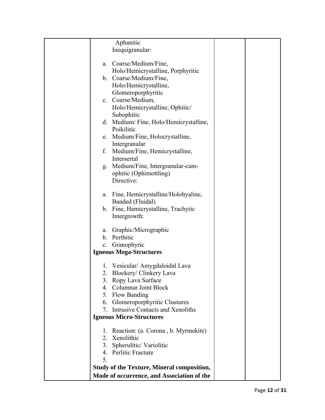| Aphanitic                                               |  |
|---------------------------------------------------------|--|
| Inequigranular:                                         |  |
|                                                         |  |
| a. Coarse/Medium/Fine,                                  |  |
| Holo/Hemicrystalline, Porphyritic                       |  |
| b. Coarse/Medium/Fine,                                  |  |
| Holo/Hemicrystalline,                                   |  |
| Glomeroporphyritic                                      |  |
| c. Coarse/Medium,                                       |  |
| Holo/Hemicrystalline, Ophitic/                          |  |
| Subophitic                                              |  |
| d. Medium/Fine, Holo/Hemicrystalline,                   |  |
| Poikilitic                                              |  |
| e. Medium/Fine, Holocrystalline,                        |  |
| Intergranular                                           |  |
| f. Medium/Fine, Hemicrystalline,                        |  |
| Intersertal                                             |  |
| g. Medium/Fine, Intergranular-cum-                      |  |
|                                                         |  |
| ophitic (Ophimottling)<br>Directive:                    |  |
|                                                         |  |
|                                                         |  |
| a. Fine, Hemicrystalline/Holohyaline,                   |  |
| Banded (Fluidal)                                        |  |
| b. Fine, Hemicrystalline, Trachytic                     |  |
| Intergrowth:                                            |  |
| a. Graphic/Micrographic                                 |  |
| b. Perthitic                                            |  |
|                                                         |  |
| c. Granophyric                                          |  |
| <b>Igneous Mega-Structures</b>                          |  |
| 1. Vesicular/ Amygdaloidal Lava                         |  |
| 2. Blockery/ Clinkery Lava                              |  |
| 3. Ropy Lava Surface                                    |  |
| 4. Columnar Joint Block                                 |  |
|                                                         |  |
| 5. Flow Banding                                         |  |
| 6. Glomeroporphyritic Clustures                         |  |
| 7. Intrusive Contacts and Xenoliths                     |  |
| <b>Igneous Micro-Structures</b>                         |  |
|                                                         |  |
| Reaction: (a. Corona, b. Myrmekite)<br>Xenolithic<br>2. |  |
|                                                         |  |
| 3. Spherulitic/Variolitic                               |  |
| 4. Perlitic Fracture                                    |  |
| 5.                                                      |  |
| <b>Study of the Texture, Mineral composition,</b>       |  |
| Mode of occurrence, and Association of the              |  |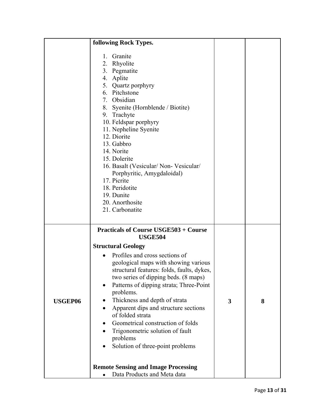|                | following Rock Types.                                                                                                                                                                                                                                                                                                                                                                                                                                                                                                                                                                                                 |                         |   |
|----------------|-----------------------------------------------------------------------------------------------------------------------------------------------------------------------------------------------------------------------------------------------------------------------------------------------------------------------------------------------------------------------------------------------------------------------------------------------------------------------------------------------------------------------------------------------------------------------------------------------------------------------|-------------------------|---|
|                | Granite<br>1.<br>2. Rhyolite<br>3. Pegmatite<br>4. Aplite<br>5. Quartz porphyry<br>6. Pitchstone<br>7. Obsidian<br>8. Syenite (Hornblende / Biotite)<br>9. Trachyte<br>10. Feldspar porphyry<br>11. Nepheline Syenite<br>12. Diorite<br>13. Gabbro<br>14. Norite<br>15. Dolerite<br>16. Basalt (Vesicular/ Non- Vesicular/<br>Porphyritic, Amygdaloidal)<br>17. Picrite<br>18. Peridotite<br>19. Dunite<br>20. Anorthosite<br>21. Carbonatite                                                                                                                                                                         |                         |   |
| <b>USGEP06</b> | <b>Practicals of Course USGE503 + Course</b><br><b>USGE504</b><br><b>Structural Geology</b><br>Profiles and cross sections of<br>geological maps with showing various<br>structural features: folds, faults, dykes,<br>two series of dipping beds. (8 maps)<br>Patterns of dipping strata; Three-Point<br>problems.<br>Thickness and depth of strata<br>Apparent dips and structure sections<br>of folded strata<br>Geometrical construction of folds<br>Trigonometric solution of fault<br>problems<br>Solution of three-point problems<br><b>Remote Sensing and Image Processing</b><br>Data Products and Meta data | $\overline{\mathbf{3}}$ | 8 |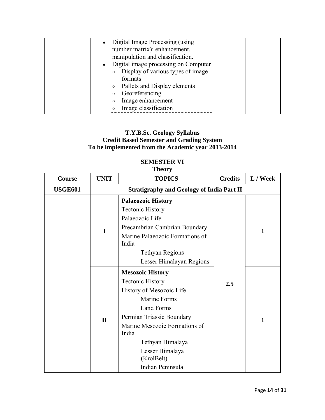| • Digital Image Processing (using      |  |
|----------------------------------------|--|
| number matrix): enhancement,           |  |
| manipulation and classification.       |  |
| • Digital image processing on Computer |  |
| Display of various types of image      |  |
| formats                                |  |
| Pallets and Display elements           |  |
| Georeferencing                         |  |
| Image enhancement<br>$\circ$           |  |
| Image classification                   |  |

# **T.Y.B.Sc. Geology Syllabus Credit Based Semester and Grading System To be implemented from the Academic year 2013-2014**

# **SEMESTER VI**

# **Theory**

| Course         | <b>UNIT</b>  | <b>TOPICS</b>                                                                                                                                                                                                                                                       | <b>Credits</b> | L / Week |
|----------------|--------------|---------------------------------------------------------------------------------------------------------------------------------------------------------------------------------------------------------------------------------------------------------------------|----------------|----------|
| <b>USGE601</b> |              | <b>Stratigraphy and Geology of India Part II</b>                                                                                                                                                                                                                    |                |          |
|                | $\mathbf I$  | <b>Palaeozoic History</b><br><b>Tectonic History</b><br>Palaeozoic Life<br>Precambrian Cambrian Boundary<br>Marine Palaeozoic Formations of<br>India<br><b>Tethyan Regions</b><br>Lesser Himalayan Regions                                                          |                | 1        |
|                | $\mathbf{I}$ | <b>Mesozoic History</b><br><b>Tectonic History</b><br>History of Mesozoic Life<br><b>Marine Forms</b><br>Land Forms<br>Permian Triassic Boundary<br>Marine Mesozoic Formations of<br>India<br>Tethyan Himalaya<br>Lesser Himalaya<br>(KrolBelt)<br>Indian Peninsula | 2.5            | 1        |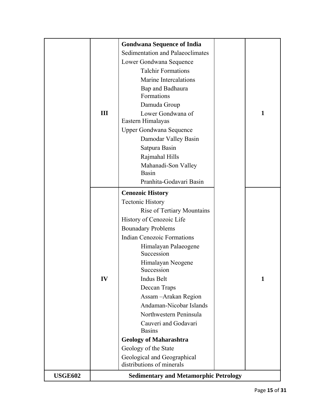|                |     | <b>Gondwana Sequence of India</b>            |              |
|----------------|-----|----------------------------------------------|--------------|
|                |     | Sedimentation and Palaeoclimates             |              |
|                |     | Lower Gondwana Sequence                      |              |
|                |     | <b>Talchir Formations</b>                    |              |
|                |     | Marine Intercalations                        |              |
|                |     |                                              |              |
|                |     | Bap and Badhaura<br>Formations               |              |
|                |     | Damuda Group                                 |              |
|                | III | Lower Gondwana of                            | $\mathbf{1}$ |
|                |     | Eastern Himalayas                            |              |
|                |     | <b>Upper Gondwana Sequence</b>               |              |
|                |     | Damodar Valley Basin                         |              |
|                |     | Satpura Basin                                |              |
|                |     | Rajmahal Hills                               |              |
|                |     | Mahanadi-Son Valley<br><b>Basin</b>          |              |
|                |     |                                              |              |
|                |     | Pranhita-Godavari Basin                      |              |
|                |     | <b>Cenozoic History</b>                      |              |
|                |     | <b>Tectonic History</b>                      |              |
|                |     | <b>Rise of Tertiary Mountains</b>            |              |
|                |     | History of Cenozoic Life                     |              |
|                |     | <b>Bounadary Problems</b>                    |              |
|                |     | <b>Indian Cenozoic Formations</b>            |              |
|                |     | Himalayan Palaeogene<br>Succession           |              |
|                |     | Himalayan Neogene                            |              |
|                |     | Succession                                   |              |
|                | IV  | <b>Indus Belt</b>                            | 1            |
|                |     | Deccan Traps                                 |              |
|                |     | Assam - Arakan Region                        |              |
|                |     | Andaman-Nicobar Islands                      |              |
|                |     | Northwestern Peninsula                       |              |
|                |     | Cauveri and Godavari<br><b>Basins</b>        |              |
|                |     | <b>Geology of Maharashtra</b>                |              |
|                |     | Geology of the State                         |              |
|                |     | Geological and Geographical                  |              |
|                |     | distributions of minerals                    |              |
| <b>USGE602</b> |     | <b>Sedimentary and Metamorphic Petrology</b> |              |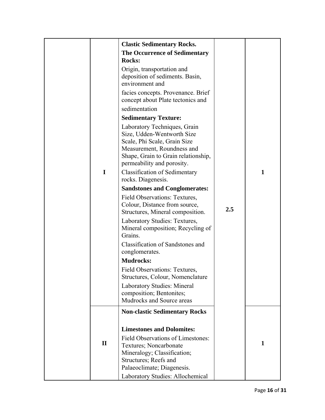|              | <b>Clastic Sedimentary Rocks.</b>                                                                                                                                                                                                     |     |   |
|--------------|---------------------------------------------------------------------------------------------------------------------------------------------------------------------------------------------------------------------------------------|-----|---|
|              | <b>The Occurrence of Sedimentary</b>                                                                                                                                                                                                  |     |   |
|              | <b>Rocks:</b>                                                                                                                                                                                                                         |     |   |
|              | Origin, transportation and<br>deposition of sediments. Basin,<br>environment and                                                                                                                                                      |     |   |
|              | facies concepts. Provenance. Brief<br>concept about Plate tectonics and                                                                                                                                                               |     |   |
|              | sedimentation                                                                                                                                                                                                                         |     |   |
|              | <b>Sedimentary Texture:</b>                                                                                                                                                                                                           |     |   |
| I            | Laboratory Techniques, Grain<br>Size, Udden-Wentworth Size<br>Scale, Phi Scale, Grain Size<br>Measurement, Roundness and<br>Shape, Grain to Grain relationship,<br>permeability and porosity.<br><b>Classification of Sedimentary</b> |     | 1 |
|              | rocks. Diagenesis.                                                                                                                                                                                                                    |     |   |
|              | <b>Sandstones and Conglomerates:</b>                                                                                                                                                                                                  |     |   |
|              | Field Observations: Textures,<br>Colour, Distance from source,<br>Structures, Mineral composition.<br>Laboratory Studies: Textures,<br>Mineral composition; Recycling of                                                              | 2.5 |   |
|              | Grains.                                                                                                                                                                                                                               |     |   |
|              | Classification of Sandstones and<br>conglomerates.                                                                                                                                                                                    |     |   |
|              | <b>Mudrocks:</b>                                                                                                                                                                                                                      |     |   |
|              | Field Observations: Textures,<br>Structures, Colour, Nomenclature                                                                                                                                                                     |     |   |
|              | <b>Laboratory Studies: Mineral</b><br>composition; Bentonites;<br>Mudrocks and Source areas                                                                                                                                           |     |   |
|              | <b>Non-clastic Sedimentary Rocks</b>                                                                                                                                                                                                  |     |   |
| $\mathbf{I}$ | <b>Limestones and Dolomites:</b><br>Field Observations of Limestones:<br>Textures; Noncarbonate<br>Mineralogy; Classification;<br>Structures; Reefs and<br>Palaeoclimate; Diagenesis.                                                 |     | 1 |
|              | Laboratory Studies: Allochemical                                                                                                                                                                                                      |     |   |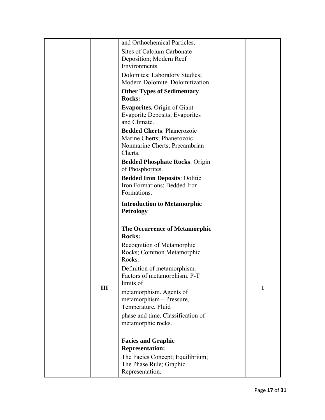|     | and Orthochemical Particles.                                                                                |   |
|-----|-------------------------------------------------------------------------------------------------------------|---|
|     | Sites of Calcium Carbonate<br>Deposition; Modern Reef                                                       |   |
|     | Environments.<br>Dolomites: Laboratory Studies;                                                             |   |
|     | Modern Dolomite. Dolomitization.                                                                            |   |
|     | <b>Other Types of Sedimentary</b><br><b>Rocks:</b>                                                          |   |
|     | <b>Evaporites, Origin of Giant</b><br><b>Evaporite Deposits</b> ; Evaporites<br>and Climate.                |   |
|     | <b>Bedded Cherts: Phanerozoic</b><br>Marine Cherts; Phanerozoic<br>Nonmarine Cherts; Precambrian<br>Cherts. |   |
|     | <b>Bedded Phosphate Rocks: Origin</b><br>of Phosphorites.                                                   |   |
|     | <b>Bedded Iron Deposits: Oolitic</b>                                                                        |   |
|     | Iron Formations; Bedded Iron<br>Formations.                                                                 |   |
|     | <b>Introduction to Metamorphic</b><br><b>Petrology</b>                                                      |   |
|     | <b>The Occurrence of Metamorphic</b><br><b>Rocks:</b>                                                       |   |
|     | Recognition of Metamorphic<br>Rocks; Common Metamorphic<br>Rocks.                                           |   |
|     | Definition of metamorphism.<br>Factors of metamorphism. P-T<br>limits of                                    |   |
| III | metamorphism. Agents of<br>metamorphism - Pressure,<br>Temperature, Fluid                                   | 1 |
|     | phase and time. Classification of<br>metamorphic rocks.                                                     |   |
|     | <b>Facies and Graphic</b><br><b>Representation:</b>                                                         |   |
|     | The Facies Concept; Equilibrium;<br>The Phase Rule; Graphic<br>Representation.                              |   |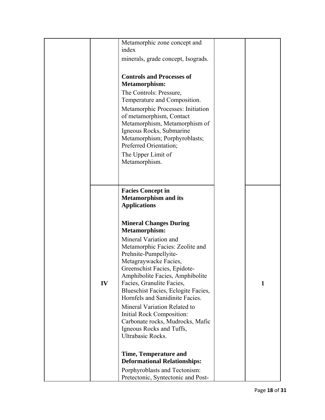|    | Metamorphic zone concept and        |   |
|----|-------------------------------------|---|
|    | index                               |   |
|    | minerals, grade concept, Isograds.  |   |
|    |                                     |   |
|    |                                     |   |
|    | <b>Controls and Processes of</b>    |   |
|    | <b>Metamorphism:</b>                |   |
|    | The Controls: Pressure,             |   |
|    | Temperature and Composition.        |   |
|    |                                     |   |
|    | Metamorphic Processes: Initiation   |   |
|    | of metamorphism, Contact            |   |
|    | Metamorphism, Metamorphism of       |   |
|    | Igneous Rocks, Submarine            |   |
|    | Metamorphism; Porphyroblasts;       |   |
|    | Preferred Orientation;              |   |
|    | The Upper Limit of                  |   |
|    | Metamorphism.                       |   |
|    |                                     |   |
|    |                                     |   |
|    |                                     |   |
|    |                                     |   |
|    | <b>Facies Concept in</b>            |   |
|    | <b>Metamorphism and its</b>         |   |
|    | <b>Applications</b>                 |   |
|    |                                     |   |
|    | <b>Mineral Changes During</b>       |   |
|    | <b>Metamorphism:</b>                |   |
|    |                                     |   |
|    | Mineral Variation and               |   |
|    | Metamorphic Facies: Zeolite and     |   |
|    | Prehnite-Pumpellyite-               |   |
|    | Metagraywacke Facies,               |   |
|    | Greenschist Facies, Epidote-        |   |
|    | Amphibolite Facies, Amphibolite     |   |
| IV | Facies, Granulite Facies,           | 1 |
|    | Blueschist Facies, Eclogite Facies, |   |
|    | Hornfels and Sanidinite Facies.     |   |
|    |                                     |   |
|    | Mineral Variation Related to        |   |
|    | Initial Rock Composition:           |   |
|    | Carbonate rocks, Mudrocks, Mafic    |   |
|    | Igneous Rocks and Tuffs,            |   |
|    | Ultrabasic Rocks.                   |   |
|    |                                     |   |
|    |                                     |   |
|    | <b>Time, Temperature and</b>        |   |
|    | <b>Deformational Relationships:</b> |   |
|    |                                     |   |
|    | Porphyroblasts and Tectonism:       |   |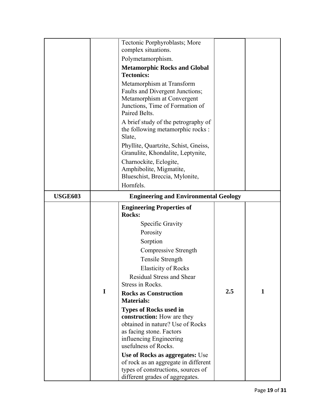|                |   | Tectonic Porphyroblasts; More<br>complex situations.<br>Polymetamorphism.<br><b>Metamorphic Rocks and Global</b><br><b>Tectonics:</b><br>Metamorphism at Transform<br>Faults and Divergent Junctions;<br>Metamorphism at Convergent<br>Junctions, Time of Formation of<br>Paired Belts.<br>A brief study of the petrography of<br>the following metamorphic rocks :<br>Slate,<br>Phyllite, Quartzite, Schist, Gneiss,<br>Granulite, Khondalite, Leptynite,<br>Charnockite, Eclogite,<br>Amphibolite, Migmatite,<br>Blueschist, Breccia, Mylonite,                                                                          |         |   |
|----------------|---|----------------------------------------------------------------------------------------------------------------------------------------------------------------------------------------------------------------------------------------------------------------------------------------------------------------------------------------------------------------------------------------------------------------------------------------------------------------------------------------------------------------------------------------------------------------------------------------------------------------------------|---------|---|
|                |   | Hornfels.                                                                                                                                                                                                                                                                                                                                                                                                                                                                                                                                                                                                                  |         |   |
| <b>USGE603</b> |   | <b>Engineering and Environmental Geology</b>                                                                                                                                                                                                                                                                                                                                                                                                                                                                                                                                                                               |         |   |
|                | I | <b>Engineering Properties of</b><br><b>Rocks:</b><br>Specific Gravity<br>Porosity<br>Sorption<br>Compressive Strength<br>Tensile Strength<br><b>Elasticity of Rocks</b><br><b>Residual Stress and Shear</b><br>Stress in Rocks.<br><b>Rocks as Construction</b><br><b>Materials:</b><br><b>Types of Rocks used in</b><br>construction: How are they<br>obtained in nature? Use of Rocks<br>as facing stone. Factors<br>influencing Engineering<br>usefulness of Rocks.<br>Use of Rocks as aggregates: Use<br>of rock as an aggregate in different<br>types of constructions, sources of<br>different grades of aggregates. | $2.5\,$ | 1 |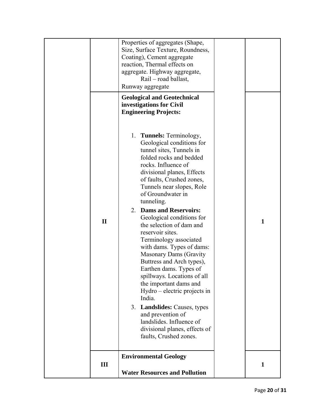|              | Properties of aggregates (Shape,<br>Size, Surface Texture, Roundness,<br>Coating), Cement aggregate<br>reaction, Thermal effects on<br>aggregate. Highway aggregate,<br>Rail – road ballast,<br>Runway aggregate<br><b>Geological and Geotechnical</b><br>investigations for Civil<br><b>Engineering Projects:</b><br>1. Tunnels: Terminology,<br>Geological conditions for<br>tunnel sites, Tunnels in<br>folded rocks and bedded<br>rocks. Influence of<br>divisional planes, Effects<br>of faults, Crushed zones,<br>Tunnels near slopes, Role |              |
|--------------|---------------------------------------------------------------------------------------------------------------------------------------------------------------------------------------------------------------------------------------------------------------------------------------------------------------------------------------------------------------------------------------------------------------------------------------------------------------------------------------------------------------------------------------------------|--------------|
| $\mathbf{I}$ | of Groundwater in<br>tunneling.<br><b>Dams and Reservoirs:</b><br>2.<br>Geological conditions for<br>the selection of dam and<br>reservoir sites.<br>Terminology associated<br>with dams. Types of dams:<br><b>Masonary Dams (Gravity</b><br>Buttress and Arch types),<br>Earthen dams. Types of<br>spillways. Locations of all<br>the important dams and<br>Hydro – electric projects in<br>India.<br>3. Landslides: Causes, types<br>and prevention of<br>landslides. Influence of<br>divisional planes, effects of<br>faults, Crushed zones.   | $\mathbf{1}$ |
| III          | <b>Environmental Geology</b><br><b>Water Resources and Pollution</b>                                                                                                                                                                                                                                                                                                                                                                                                                                                                              | 1            |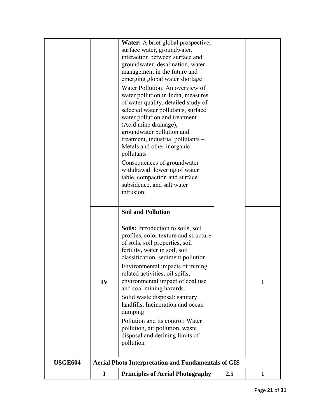|                |             | Water: A brief global prospective,                                    |     |              |
|----------------|-------------|-----------------------------------------------------------------------|-----|--------------|
|                |             | surface water, groundwater,                                           |     |              |
|                |             | interaction between surface and                                       |     |              |
|                |             | groundwater, desalination, water                                      |     |              |
|                |             | management in the future and<br>emerging global water shortage        |     |              |
|                |             |                                                                       |     |              |
|                |             | Water Pollution: An overview of<br>water pollution in India, measures |     |              |
|                |             | of water quality, detailed study of                                   |     |              |
|                |             | selected water pollutants, surface                                    |     |              |
|                |             | water pollution and treatment                                         |     |              |
|                |             | (Acid mine drainage),                                                 |     |              |
|                |             | groundwater pollution and                                             |     |              |
|                |             | treatment, industrial pollutants -                                    |     |              |
|                |             | Metals and other inorganic                                            |     |              |
|                |             | pollutants                                                            |     |              |
|                |             | Consequences of groundwater                                           |     |              |
|                |             | withdrawal: lowering of water                                         |     |              |
|                |             | table, compaction and surface                                         |     |              |
|                |             | subsidence, and salt water<br>intrusion.                              |     |              |
|                |             |                                                                       |     |              |
|                |             | <b>Soil and Pollution</b>                                             |     |              |
|                |             | <b>Soils:</b> Introduction to soils, soil                             |     |              |
|                |             | profiles, color texture and structure                                 |     |              |
|                |             | of soils, soil properties, soil                                       |     |              |
|                |             | fertility, water in soil, soil                                        |     |              |
|                |             | classification, sediment pollution                                    |     |              |
|                |             | Environmental impacts of mining                                       |     |              |
|                |             | related activities, oil spills                                        |     |              |
|                | IV          | environmental impact of coal use                                      |     | 1            |
|                |             | and coal mining hazards.                                              |     |              |
|                |             | Solid waste disposal: sanitary<br>landfills, Incineration and ocean   |     |              |
|                |             | dumping                                                               |     |              |
|                |             | Pollution and its control: Water                                      |     |              |
|                |             | pollution, air pollution, waste                                       |     |              |
|                |             | disposal and defining limits of                                       |     |              |
|                |             | pollution                                                             |     |              |
|                |             |                                                                       |     |              |
| <b>USGE604</b> |             | <b>Aerial Photo Interpretation and Fundamentals of GIS</b>            |     |              |
|                | $\mathbf I$ | <b>Principles of Aerial Photography</b>                               | 2.5 | $\mathbf{1}$ |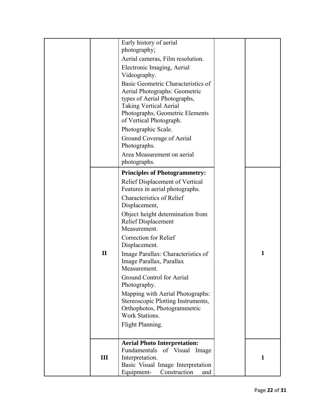|              | Early history of aerial<br>photography;                                                                                                                                                                                                                                                                                                                                                                                                                                                                                                                |   |
|--------------|--------------------------------------------------------------------------------------------------------------------------------------------------------------------------------------------------------------------------------------------------------------------------------------------------------------------------------------------------------------------------------------------------------------------------------------------------------------------------------------------------------------------------------------------------------|---|
|              | Aerial cameras, Film resolution.                                                                                                                                                                                                                                                                                                                                                                                                                                                                                                                       |   |
|              | Electronic Imaging, Aerial<br>Videography.                                                                                                                                                                                                                                                                                                                                                                                                                                                                                                             |   |
|              | Basic Geometric Characteristics of<br>Aerial Photographs: Geometric<br>types of Aerial Photographs,<br><b>Taking Vertical Aerial</b><br>Photographs, Geometric Elements<br>of Vertical Photograph.<br>Photographic Scale.<br>Ground Coverage of Aerial<br>Photographs.<br>Area Measurement on aerial                                                                                                                                                                                                                                                   |   |
|              | photographs.                                                                                                                                                                                                                                                                                                                                                                                                                                                                                                                                           |   |
| $\mathbf{I}$ | <b>Principles of Photogrammetry:</b><br>Relief Displacement of Vertical<br>Features in aerial photographs.<br><b>Characteristics of Relief</b><br>Displacement,<br>Object height determination from<br><b>Relief Displacement</b><br>Measurement.<br>Correction for Relief<br>Displacement.<br>Image Parallax: Characteristics of<br>Image Parallax, Parallax<br>Measurement.<br>Ground Control for Aerial<br>Photography.<br>Mapping with Aerial Photographs:<br>Stereoscopic Plotting Instruments,<br>Orthophotos, Photogrammetric<br>Work Stations. | 1 |
|              | Flight Planning.                                                                                                                                                                                                                                                                                                                                                                                                                                                                                                                                       |   |
|              | <b>Aerial Photo Interpretation:</b>                                                                                                                                                                                                                                                                                                                                                                                                                                                                                                                    |   |
| III          | Fundamentals of Visual<br>Image<br>Interpretation.<br>Basic Visual Image Interpretation                                                                                                                                                                                                                                                                                                                                                                                                                                                                | 1 |
|              | Equipment-<br>Construction<br>and                                                                                                                                                                                                                                                                                                                                                                                                                                                                                                                      |   |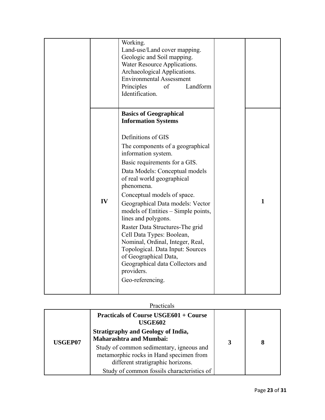|    | Working.<br>Land-use/Land cover mapping.<br>Geologic and Soil mapping.<br>Water Resource Applications.<br>Archaeological Applications.<br><b>Environmental Assessment</b><br>Landform<br>Principles<br>of<br>Identification.                                                                                                                                                                                                                                                                                                                                         |              |
|----|----------------------------------------------------------------------------------------------------------------------------------------------------------------------------------------------------------------------------------------------------------------------------------------------------------------------------------------------------------------------------------------------------------------------------------------------------------------------------------------------------------------------------------------------------------------------|--------------|
|    | <b>Basics of Geographical</b><br><b>Information Systems</b>                                                                                                                                                                                                                                                                                                                                                                                                                                                                                                          |              |
| IV | Definitions of GIS<br>The components of a geographical<br>information system.<br>Basic requirements for a GIS.<br>Data Models: Conceptual models<br>of real world geographical<br>phenomena.<br>Conceptual models of space.<br>Geographical Data models: Vector<br>models of Entities – Simple points,<br>lines and polygons.<br>Raster Data Structures-The grid<br>Cell Data Types: Boolean,<br>Nominal, Ordinal, Integer, Real,<br>Topological. Data Input: Sources<br>of Geographical Data,<br>Geographical data Collectors and<br>providers.<br>Geo-referencing. | $\mathbf{1}$ |

#### Practicals

|                | <b>Practicals of Course USGE601 + Course</b><br><b>USGE602</b><br><b>Stratigraphy and Geology of India,</b><br><b>Maharashtra and Mumbai:</b>                          |   |  |
|----------------|------------------------------------------------------------------------------------------------------------------------------------------------------------------------|---|--|
| <b>USGEP07</b> | Study of common sedimentary, igneous and<br>metamorphic rocks in Hand specimen from<br>different stratigraphic horizons.<br>Study of common fossils characteristics of | 3 |  |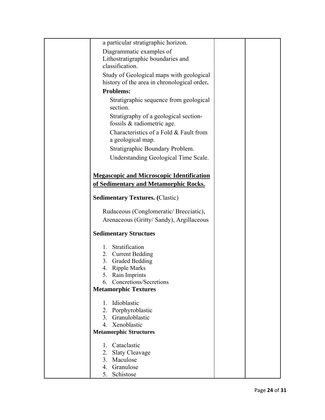| a particular stratigraphic horizon.                                 |  |
|---------------------------------------------------------------------|--|
| Diagrammatic examples of                                            |  |
| Lithostratigraphic boundaries and                                   |  |
| classification.                                                     |  |
| Study of Geological maps with geological                            |  |
| history of the area in chronological order.                         |  |
| <b>Problems:</b>                                                    |  |
|                                                                     |  |
| Stratigraphic sequence from geological<br>section.                  |  |
| Stratigraphy of a geological section-<br>fossils & radiometric age. |  |
| Characteristics of a Fold & Fault from                              |  |
| a geological map.                                                   |  |
| Stratigraphic Boundary Problem.                                     |  |
|                                                                     |  |
| Understanding Geological Time Scale.                                |  |
|                                                                     |  |
| <b>Megascopic and Microscopic Identification</b>                    |  |
| of Sedimentary and Metamorphic Rocks.                               |  |
| <b>Sedimentary Textures.</b> (Clastic)                              |  |
| Rudaceous (Conglomeratic/ Brecciatic),                              |  |
| Arenaceous (Gritty/ Sandy), Argillaceous                            |  |
|                                                                     |  |
| <b>Sedimentary Structues</b>                                        |  |
| Stratification<br>$1_{-}$                                           |  |
| 2. Current Bedding                                                  |  |
| Graded Bedding<br>3.                                                |  |
| 4. Ripple Marks                                                     |  |
| 5. Rain Imprints                                                    |  |
| Concretions/Secretions<br>6.                                        |  |
| <b>Metamorphic Textures</b>                                         |  |
| 1. Idioblastic                                                      |  |
| 2. Porphyroblastic                                                  |  |
| Granuloblastic<br>3.                                                |  |
| 4. Xenoblastic                                                      |  |
| <b>Metamorphic Structures</b>                                       |  |
|                                                                     |  |
| Cataclastic<br>$\mathbf{1}$                                         |  |
| 2.<br><b>Slaty Cleavage</b>                                         |  |
| 3. Maculose                                                         |  |
| 4. Granulose                                                        |  |
| 5. Schistose                                                        |  |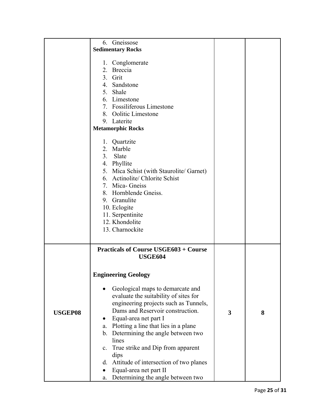|                | 6. Gneissose                                                                                                                                                                                                                                                                                                                                                                                                                                                                                                                                                                         |   |   |
|----------------|--------------------------------------------------------------------------------------------------------------------------------------------------------------------------------------------------------------------------------------------------------------------------------------------------------------------------------------------------------------------------------------------------------------------------------------------------------------------------------------------------------------------------------------------------------------------------------------|---|---|
|                | <b>Sedimentary Rocks</b>                                                                                                                                                                                                                                                                                                                                                                                                                                                                                                                                                             |   |   |
|                | 1. Conglomerate<br>2. Breccia<br>3. Grit<br>4. Sandstone<br>5. Shale<br>6. Limestone<br>7. Fossiliferous Limestone<br>8. Oolitic Limestone<br>9. Laterite<br><b>Metamorphic Rocks</b><br>1. Quartzite<br>2. Marble<br>Slate<br>3.<br>4. Phyllite<br>5. Mica Schist (with Staurolite/ Garnet)<br>6. Actinolite/ Chlorite Schist<br>7. Mica- Gneiss<br>8. Hornblende Gneiss.<br>9. Granulite<br>10. Eclogite<br>11. Serpentinite<br>12. Khondolite                                                                                                                                     |   |   |
| <b>USGEP08</b> | 13. Charnockite<br><b>Practicals of Course USGE603 + Course</b><br><b>USGE604</b><br><b>Engineering Geology</b><br>Geological maps to demarcate and<br>evaluate the suitability of sites for<br>engineering projects such as Tunnels,<br>Dams and Reservoir construction.<br>Equal-area net part I<br>٠<br>a. Plotting a line that lies in a plane<br>b. Determining the angle between two<br>lines<br>True strike and Dip from apparent<br>$c_{\cdot}$<br>dips<br>Attitude of intersection of two planes<br>d.<br>Equal-area net part II<br>Determining the angle between two<br>a. | 3 | 8 |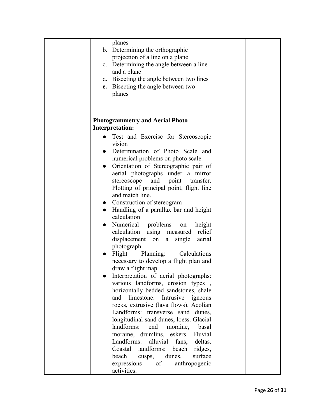| planes                                          |  |
|-------------------------------------------------|--|
| b. Determining the orthographic                 |  |
| projection of a line on a plane                 |  |
| c. Determining the angle between a line         |  |
| and a plane                                     |  |
|                                                 |  |
| d. Bisecting the angle between two lines        |  |
| e. Bisecting the angle between two              |  |
| planes                                          |  |
|                                                 |  |
|                                                 |  |
|                                                 |  |
| <b>Photogrammetry and Aerial Photo</b>          |  |
| <b>Interpretation:</b>                          |  |
| Test and Exercise for Stereoscopic              |  |
| vision                                          |  |
| Determination of Photo Scale and<br>$\bullet$   |  |
| numerical problems on photo scale.              |  |
| Orientation of Stereographic pair of            |  |
| aerial photographs under a mirror               |  |
| stereoscope and point transfer.                 |  |
|                                                 |  |
| Plotting of principal point, flight line        |  |
| and match line.                                 |  |
| Construction of stereogram<br>$\bullet$         |  |
| Handling of a parallax bar and height           |  |
| calculation                                     |  |
| Numerical problems<br>height<br>on<br>$\bullet$ |  |
| calculation using measured<br>relief            |  |
| displacement<br>single<br>aerial<br>on a        |  |
| photograph.                                     |  |
| Planning:<br>Flight<br>Calculations             |  |
| necessary to develop a flight plan and          |  |
| draw a flight map.                              |  |
| Interpretation of aerial photographs:           |  |
|                                                 |  |
| various landforms, erosion types,               |  |
| horizontally bedded sandstones, shale           |  |
| limestone.<br>Intrusive igneous<br>and          |  |
| rocks, extrusive (lava flows). Aeolian          |  |
| Landforms: transverse sand dunes,               |  |
| longitudinal sand dunes, loess. Glacial         |  |
| landforms:<br>end<br>moraine,<br>basal          |  |
| moraine, drumlins, eskers.<br>Fluvial           |  |
| Landforms:<br>alluvial<br>fans,<br>deltas.      |  |
| Coastal<br>landforms:<br>beach<br>ridges,       |  |
| beach<br>surface<br>dunes,<br>cusps,            |  |
| of<br>anthropogenic<br>expressions              |  |
| activities.                                     |  |
|                                                 |  |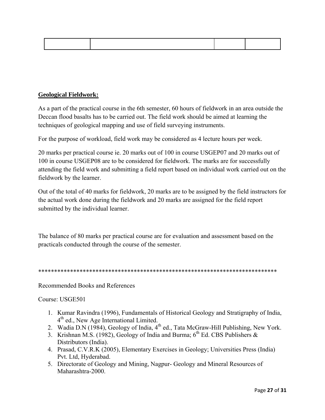# **Geological Fieldwork:**

As a part of the practical course in the 6th semester, 60 hours of fieldwork in an area outside the Deccan flood basalts has to be carried out. The field work should be aimed at learning the techniques of geological mapping and use of field surveying instruments.

For the purpose of workload, field work may be considered as 4 lecture hours per week.

20 marks per practical course ie. 20 marks out of 100 in course USGEP07 and 20 marks out of 100 in course USGEP08 are to be considered for fieldwork. The marks are for successfully attending the field work and submitting a field report based on individual work carried out on the fieldwork by the learner.

Out of the total of 40 marks for fieldwork, 20 marks are to be assigned by the field instructors for the actual work done during the fieldwork and 20 marks are assigned for the field report submitted by the individual learner.

The balance of 80 marks per practical course are for evaluation and assessment based on the practicals conducted through the course of the semester.

\*\*\*\*\*\*\*\*\*\*\*\*\*\*\*\*\*\*\*\*\*\*\*\*\*\*\*\*\*\*\*\*\*\*\*\*\*\*\*\*\*\*\*\*\*\*\*\*\*\*\*\*\*\*\*\*\*\*\*\*\*\*\*\*\*\*\*\*\*\*\*\*\*\*\*

Recommended Books and References

Course: USGE501

- 1. Kumar Ravindra (1996), Fundamentals of Historical Geology and Stratigraphy of India,  $4<sup>th</sup>$  ed., New Age International Limited.
- 2. Wadia D.N (1984), Geology of India,  $4<sup>th</sup>$  ed., Tata McGraw-Hill Publishing, New York.
- 3. Krishnan M.S. (1982), Geology of India and Burma;  $6<sup>th</sup>$  Ed. CBS Publishers & Distributors (India).
- 4. Prasad, C.V.R.K (2005), Elementary Exercises in Geology; Universities Press (India) Pvt. Ltd, Hyderabad.
- 5. Directorate of Geology and Mining, Nagpur- Geology and Mineral Resources of Maharashtra-2000.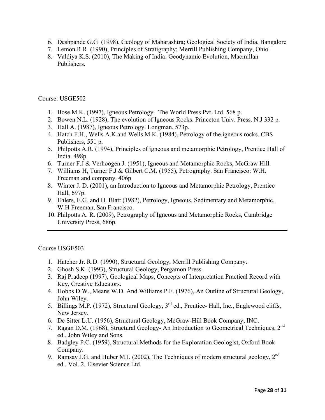- 6. Deshpande G.G (1998), Geology of Maharashtra; Geological Society of India, Bangalore
- 7. Lemon R.R (1990), Principles of Stratigraphy; Merrill Publishing Company, Ohio.
- 8. Valdiya K.S. (2010), The Making of India: Geodynamic Evolution, Macmillan Publishers.

### Course: USGE502

- 1. Bose M.K. (1997), Igneous Petrology. The World Press Pvt. Ltd. 568 p.
- 2. Bowen N.L. (1928), The evolution of Igneous Rocks. Princeton Univ. Press. N.J 332 p.
- 3. Hall A. (1987), Igneous Petrology. Longman. 573p.
- 4. Hatch F.H., Wells A.K and Wells M.K. (1984), Petrology of the igneous rocks. CBS Publishers, 551 p.
- 5. Philpotts A.R. (1994), Principles of igneous and metamorphic Petrology, Prentice Hall of India. 498p.
- 6. Turner F.J & Verhoogen J. (1951), Igneous and Metamorphic Rocks, McGraw Hill.
- 7. Williams H, Turner F.J & Gilbert C.M. (1955), Petrography. San Francisco: W.H. Freeman and company. 406p
- 8. Winter J. D. (2001), an Introduction to Igneous and Metamorphic Petrology, Prentice Hall, 697p.
- 9. Ehlers, E.G. and H. Blatt (1982), Petrology, Igneous, Sedimentary and Metamorphic, W.H Freeman, San Francisco.
- 10. Philpotts A. R. (2009), Petrography of Igneous and Metamorphic Rocks, Cambridge University Press, 686p.

Course USGE503

- 1. Hatcher Jr. R.D. (1990), Structural Geology, Merrill Publishing Company.
- 2. Ghosh S.K. (1993), Structural Geology, Pergamon Press.
- 3. Raj Pradeep (1997), Geological Maps, Concepts of Interpretation Practical Record with Key, Creative Educators.
- 4. Hobbs D.W., Means W.D. And Williams P.F. (1976), An Outline of Structural Geology, John Wiley.
- 5. Billings M.P. (1972), Structural Geology, 3<sup>rd</sup> ed., Prentice- Hall, Inc., Englewood cliffs, New Jersey.
- 6. De Sitter L.U. (1956), Structural Geology, McGraw-Hill Book Company, INC.
- 7. Ragan D.M. (1968), Structural Geology- An Introduction to Geometrical Techniques, 2nd ed., John Wiley and Sons.
- 8. Badgley P.C. (1959), Structural Methods for the Exploration Geologist, Oxford Book Company.
- 9. Ramsay J.G. and Huber M.I. (2002), The Techniques of modern structural geology,  $2^{nd}$ ed., Vol. 2, Elsevier Science Ltd.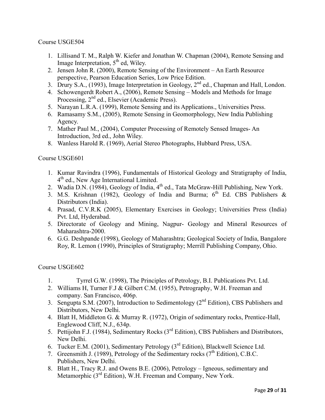Course USGE504

- 1. Lillisand T. M., Ralph W. Kiefer and Jonathan W. Chapman (2004), Remote Sensing and Image Interpretation,  $5<sup>th</sup>$  ed, Wiley.
- 2. Jensen John R. (2000), Remote Sensing of the Environment An Earth Resource perspective, Pearson Education Series, Low Price Edition.
- 3. Drury S.A., (1993), Image Interpretation in Geology, 2<sup>nd</sup> ed., Chapman and Hall, London.
- 4. Schowengerdt Robert A., (2006), Remote Sensing Models and Methods for Image Processing, 2<sup>nd</sup> ed., Elsevier (Academic Press).
- 5. Narayan L.R.A. (1999), Remote Sensing and its Applications., Universities Press.
- 6. Ramasamy S.M., (2005), Remote Sensing in Geomorphology, New India Publishing Agency.
- 7. Mather Paul M., (2004), Computer Processing of Remotely Sensed Images- An Introduction, 3rd ed., John Wiley.
- 8. Wanless Harold R. (1969), Aerial Stereo Photographs, Hubbard Press, USA.

Course USGE601

- 1. Kumar Ravindra (1996), Fundamentals of Historical Geology and Stratigraphy of India, 4<sup>th</sup> ed., New Age International Limited.
- 2. Wadia D.N. (1984), Geology of India,  $4<sup>th</sup>$  ed., Tata McGraw-Hill Publishing, New York.
- 3. M.S. Krishnan (1982), Geology of India and Burma;  $6<sup>th</sup>$  Ed. CBS Publishers & Distributors (India).
- 4. Prasad, C.V.R.K (2005), Elementary Exercises in Geology; Universities Press (India) Pvt. Ltd, Hyderabad.
- 5. Directorate of Geology and Mining, Nagpur- Geology and Mineral Resources of Maharashtra-2000.
- 6. G.G. Deshpande (1998), Geology of Maharashtra; Geological Society of India, Bangalore Roy, R. Lemon (1990), Principles of Stratigraphy; Merrill Publishing Company, Ohio.

Course USGE602

- 1. Tyrrel G.W. (1998), The Principles of Petrology, B.I. Publications Pvt. Ltd.
- 2. Williams H, Turner F.J & Gilbert C.M. (1955), Petrography, W.H. Freeman and company. San Francisco, 406p.
- 3. Sengupta S.M. (2007), Introduction to Sedimentology (2<sup>nd</sup> Edition), CBS Publishers and Distributors, New Delhi.
- 4. Blatt H, Middleton G. & Murray R. (1972), Origin of sedimentary rocks, Prentice-Hall, Englewood Cliff, N.J., 634p.
- 5. Pettijohn F.J. (1984), Sedimentary Rocks (3rd Edition), CBS Publishers and Distributors, New Delhi.
- 6. Tucker E.M. (2001), Sedimentary Petrology (3rd Edition), Blackwell Science Ltd.
- 7. Greensmith J. (1989), Petrology of the Sedimentary rocks ( $7<sup>th</sup>$  Edition), C.B.C. Publishers, New Delhi.
- 8. Blatt H., Tracy R.J. and Owens B.E. (2006), Petrology Igneous, sedimentary and Metamorphic (3<sup>rd</sup> Edition), W.H. Freeman and Company, New York.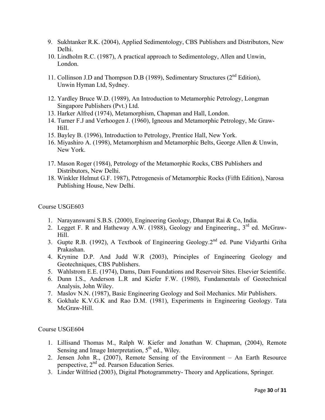- 9. Sukhtanker R.K. (2004), Applied Sedimentology, CBS Publishers and Distributors, New Delhi.
- 10. Lindholm R.C. (1987), A practical approach to Sedimentology, Allen and Unwin, London.
- 11. Collinson J.D and Thompson D.B (1989), Sedimentary Structures ( $2<sup>nd</sup>$  Edition), Unwin Hyman Ltd, Sydney.
- 12. Yardley Bruce W.D. (1989), An Introduction to Metamorphic Petrology, Longman Singapore Publishers (Pvt.) Ltd.
- 13. Harker Alfred (1974), Metamorphism, Chapman and Hall, London.
- 14. Turner F.J and Verhoogen J. (1960), Igneous and Metamorphic Petrology, Mc Graw-Hill.
- 15. Bayley B. (1996), Introduction to Petrology, Prentice Hall, New York.
- 16. Miyashiro A. (1998), Metamorphism and Metamorphic Belts, George Allen & Unwin, New York.
- 17. Mason Roger (1984), Petrology of the Metamorphic Rocks, CBS Publishers and Distributors, New Delhi.
- 18. Winkler Helmut G.F. 1987), Petrogenesis of Metamorphic Rocks (Fifth Edition), Narosa Publishing House, New Delhi.

#### Course USGE603

- 1. Narayanswami S.B.S. (2000), Engineering Geology, Dhanpat Rai & Co, India.
- 2. Legget F. R and Hatheway A.W. (1988), Geology and Engineering.,  $3<sup>rd</sup>$  ed. McGraw-Hill.
- 3. Gupte R.B. (1992), A Textbook of Engineering Geology.2nd ed. Pune Vidyarthi Griha Prakashan.
- 4. Krynine D.P. And Judd W.R (2003), Principles of Engineering Geology and Geotechniques, CBS Publishers.
- 5. Wahlstrom E.E. (1974), Dams, Dam Foundations and Reservoir Sites. Elsevier Scientific.
- 6. Dunn I.S., Anderson L.R and Kiefer F.W. (1980), Fundamentals of Geotechnical Analysis, John Wiley.
- 7. Maslov N.N. (1987), Basic Engineering Geology and Soil Mechanics. Mir Publishers.
- 8. Gokhale K.V.G.K and Rao D.M. (1981), Experiments in Engineering Geology. Tata McGraw-Hill.

#### Course USGE604

- 1. Lillisand Thomas M., Ralph W. Kiefer and Jonathan W. Chapman, (2004), Remote Sensing and Image Interpretation,  $5<sup>th</sup>$  ed., Wiley.
- 2. Jensen John R., (2007), Remote Sensing of the Environment An Earth Resource perspective, 2nd ed. Pearson Education Series.
- 3. Linder Wilfried (2003), Digital Photogrammetry- Theory and Applications, Springer.